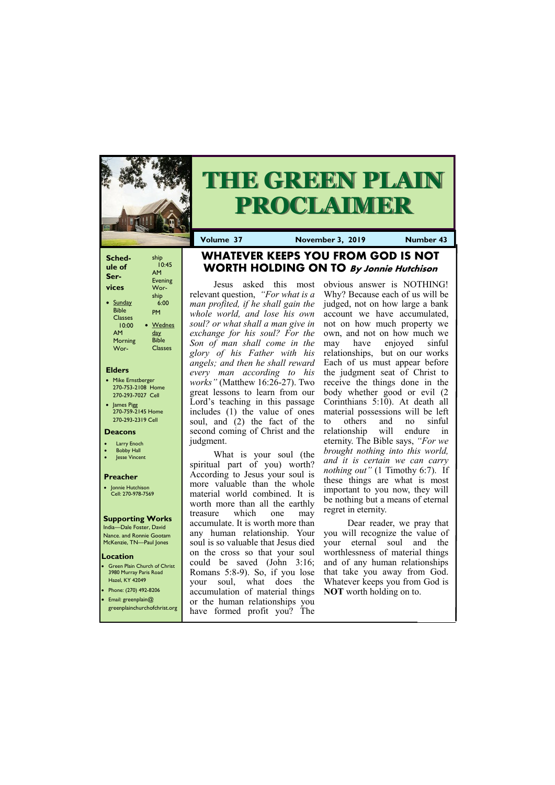## **Elders**

Green Plain Church of Christ 3980 Murray Paris Road Hazel, KY 42049 • Phone: (270) 492-8206

- Mike Ernstberger 270-753-2108 Home 270-293-7027 Cell
- James Pigg 270-759-2145 Home 270-293-2319 Cell

### **Location**



# **THE GREEN PLAIN PROCLAIMER**

**Volume 37 November 3, 2019 Number 43**

| Sched-<br>ule of | ship<br>10:45<br>AM |
|------------------|---------------------|
| Ser-             | <b>Evening</b>      |
| vices            | Wor-                |
|                  | ship                |
| Sunday           | 6:00                |
| <b>Bible</b>     | PM                  |
| <b>Classes</b>   |                     |
| 10:00            | <b>Wednes</b>       |
| AM               | <u>day</u>          |
| Morning          | <b>Bible</b>        |
| Wor-             | <b>Classes</b>      |

#### **Deacons**

- **Larry Enoch**
- **Bobby Hall**
- **Jesse Vincent**

## **Preacher**

• Jonnie Hutchison Cell: 270-978-7569

#### **Supporting Works**

India—Dale Foster, David Nance. and Ronnie Gootam McKenzie, TN—Paul Jones

## **WHATEVER KEEPS YOU FROM GOD IS NOT WORTH HOLDING ON TO By Jonnie Hutchison**

Jesus asked this most relevant question, *"For what is a man profited, if he shall gain the whole world, and lose his own soul? or what shall a man give in exchange for his soul? For the Son of man shall come in the glory of his Father with his angels; and then he shall reward every man according to his works"* (Matthew 16:26-27). Two great lessons to learn from our Lord's teaching in this passage includes (1) the value of ones soul, and (2) the fact of the second coming of Christ and the judgment.

| • Email: greenplain $@$ | $\alpha$ accumulation of material units $\alpha$ is $\alpha$ worth holding on $\alpha$ .<br>or the human relationships you<br>greenplainchurchofchrist.org have formed profit you? The |  |
|-------------------------|----------------------------------------------------------------------------------------------------------------------------------------------------------------------------------------|--|
|                         |                                                                                                                                                                                        |  |

What is your soul (the spiritual part of you) worth? According to Jesus your soul is more valuable than the whole material world combined. It is worth more than all the earthly treasure which one may accumulate. It is worth more than any human relationship. Your soul is so valuable that Jesus died on the cross so that your soul could be saved (John 3:16; Romans 5:8-9). So, if you lose your soul, what does the accumulation of material things

obvious answer is NOTHING! Why? Because each of us will be judged, not on how large a bank account we have accumulated, not on how much property we own, and not on how much we may have enjoyed sinful relationships, but on our works Each of us must appear before the judgment seat of Christ to receive the things done in the body whether good or evil (2 Corinthians 5:10). At death all material possessions will be left to others and no sinful relationship will endure in eternity. The Bible says, *"For we brought nothing into this world, and it is certain we can carry nothing out"* (1 Timothy 6:7). If these things are what is most important to you now, they will be nothing but a means of eternal regret in eternity.

Dear reader, we pray that you will recognize the value of your eternal soul and the worthlessness of material things and of any human relationships that take you away from God. Whatever keeps you from God is **NOT** worth holding on to.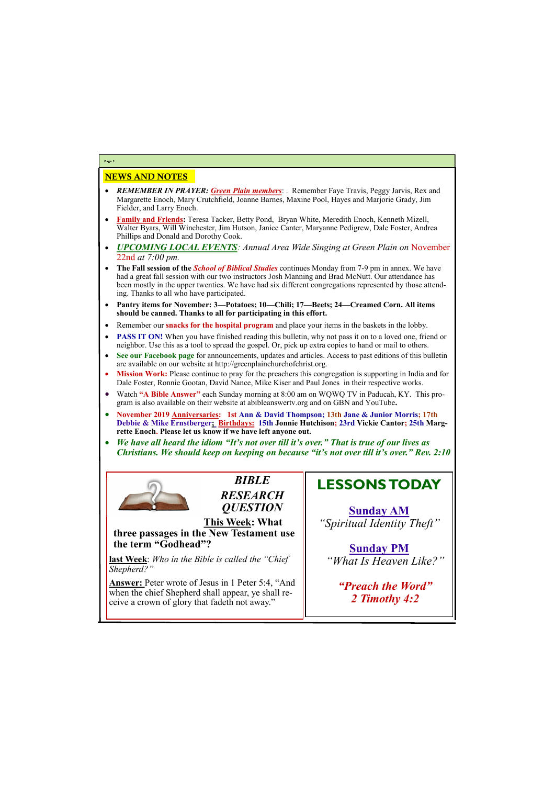## NEWS AND NOTES

- *REMEMBER IN PRAYER: Green Plain members*: . Remember Faye Travis, Peggy Jarvis, Rex and Margarette Enoch, Mary Crutchfield, Joanne Barnes, Maxine Pool, Hayes and Marjorie Grady, Jim Fielder, and Larry Enoch.
- **Family and Friends:** Teresa Tacker, Betty Pond, Bryan White, Meredith Enoch, Kenneth Mizell, Walter Byars, Will Winchester, Jim Hutson, Janice Canter, Maryanne Pedigrew, Dale Foster, Andrea Phillips and Donald and Dorothy Cook.
- *UPCOMING LOCAL EVENTS: Annual Area Wide Singing at Green Plain on* November 22nd *at 7:00 pm.*
- **The Fall session of the** *School of Biblical Studies* continues Monday from 7-9 pm in annex. We have had a great fall session with our two instructors Josh Manning and Brad McNutt. Our attendance has been mostly in the upper twenties. We have had six different congregations represented by those attending. Thanks to all who have participated.
- **Pantry items for November: 3—Potatoes; 10—Chili; 17—Beets; 24—Creamed Corn. All items should be canned. Thanks to all for participating in this effort.**
- Remember our **snacks for the hospital program** and place your items in the baskets in the lobby.
- **PASS IT ON!** When you have finished reading this bulletin, why not pass it on to a loved one, friend or neighbor. Use this as a tool to spread the gospel. Or, pick up extra copies to hand or mail to others.
- **See our Facebook page** for announcements, updates and articles. Access to past editions of this bulletin are available on our website at http://greenplainchurchofchrist.org.
- **Mission Work:** Please continue to pray for the preachers this congregation is supporting in India and for Dale Foster, Ronnie Gootan, David Nance, Mike Kiser and Paul Jones in their respective works.
- Watch **"A Bible Answer"** each Sunday morning at 8:00 am on WQWQ TV in Paducah, KY. This program is also available on their website at abibleanswertv.org and on GBN and YouTube**.**
- **November 2019 Anniversaries: 1st Ann & David Thompson; 13th Jane & Junior Morris; 17th Debbie & Mike Ernstberger; Birthdays: 15th Jonnie Hutchison; 23rd Vickie Cantor; 25th Margrette Enoch. Please let us know if we have left anyone out.**
- *We have all heard the idiom "It's not over till it's over." That is true of our lives as Christians. We should keep on keeping on because "it's not over till it's over." Rev. 2:10*



**Page 2**

*BIBLE RESEARCH QUESTION*

**This Week: What three passages in the New Testament use the term "Godhead"?**

**last Week**: *Who in the Bible is called the "Chief Shepherd?"*

**Answer:** Peter wrote of Jesus in 1 Peter 5:4, "And when the chief Shepherd shall appear, ye shall receive a crown of glory that fadeth not away."

# **LESSONS TODAY**

**Sunday AM** *"Spiritual Identity Theft"*

**Sunday PM** *"What Is Heaven Like?"*

*"Preach the Word"*

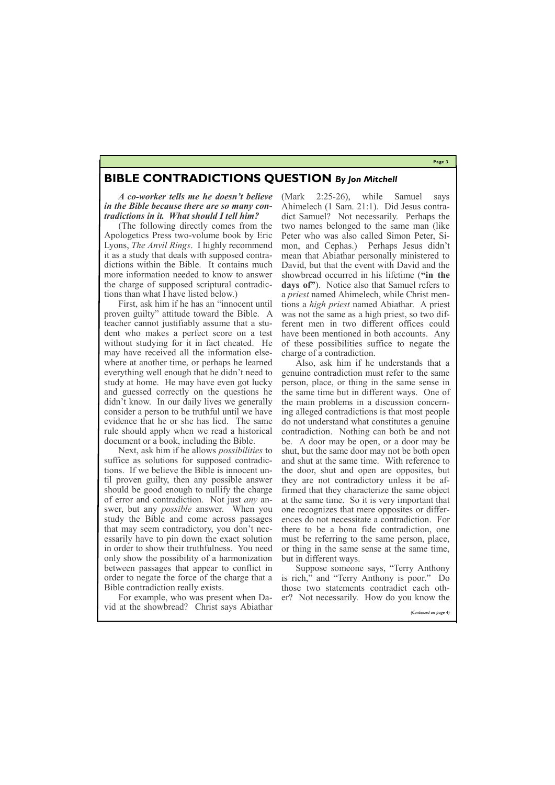**Page 3**

*A co-worker tells me he doesn't believe in the Bible because there are so many contradictions in it. What should I tell him?*

(The following directly comes from the Apologetics Press two-volume book by Eric Lyons, *The Anvil Rings*. I highly recommend it as a study that deals with supposed contradictions within the Bible. It contains much more information needed to know to answer the charge of supposed scriptural contradictions than what I have listed below.)

First, ask him if he has an "innocent until proven guilty" attitude toward the Bible. A teacher cannot justifiably assume that a student who makes a perfect score on a test without studying for it in fact cheated. He may have received all the information elsewhere at another time, or perhaps he learned everything well enough that he didn't need to study at home. He may have even got lucky and guessed correctly on the questions he didn't know. In our daily lives we generally consider a person to be truthful until we have evidence that he or she has lied. The same rule should apply when we read a historical document or a book, including the Bible.

Next, ask him if he allows *possibilities* to suffice as solutions for supposed contradictions. If we believe the Bible is innocent until proven guilty, then any possible answer should be good enough to nullify the charge of error and contradiction. Not just *any* answer, but any *possible* answer. When you study the Bible and come across passages that may seem contradictory, you don't necessarily have to pin down the exact solution in order to show their truthfulness. You need only show the possibility of a harmonization between passages that appear to conflict in order to negate the force of the charge that a Bible contradiction really exists.

For example, who was present when Da-er? Not necessarily. How do you know the vid at the showbread? Christ says Abiathar

(Mark 2:25-26), while Samuel says Ahimelech (1 Sam. 21:1). Did Jesus contradict Samuel? Not necessarily. Perhaps the two names belonged to the same man (like Peter who was also called Simon Peter, Simon, and Cephas.) Perhaps Jesus didn't mean that Abiathar personally ministered to David, but that the event with David and the showbread occurred in his lifetime (**"in the days of"**). Notice also that Samuel refers to a *priest* named Ahimelech, while Christ mentions a *high priest* named Abiathar. A priest was not the same as a high priest, so two different men in two different offices could have been mentioned in both accounts. Any of these possibilities suffice to negate the charge of a contradiction.

Also, ask him if he understands that a genuine contradiction must refer to the same person, place, or thing in the same sense in the same time but in different ways. One of the main problems in a discussion concerning alleged contradictions is that most people do not understand what constitutes a genuine contradiction. Nothing can both be and not be. A door may be open, or a door may be shut, but the same door may not be both open and shut at the same time. With reference to the door, shut and open are opposites, but they are not contradictory unless it be affirmed that they characterize the same object at the same time. So it is very important that one recognizes that mere opposites or differences do not necessitate a contradiction. For there to be a bona fide contradiction, one must be referring to the same person, place, or thing in the same sense at the same time, but in different ways.

Suppose someone says, "Terry Anthony is rich," and "Terry Anthony is poor." Do those two statements contradict each oth-

*(Continued on page 4)*

## **BIBLE CONTRADICTIONS QUESTION** *By Jon Mitchell*